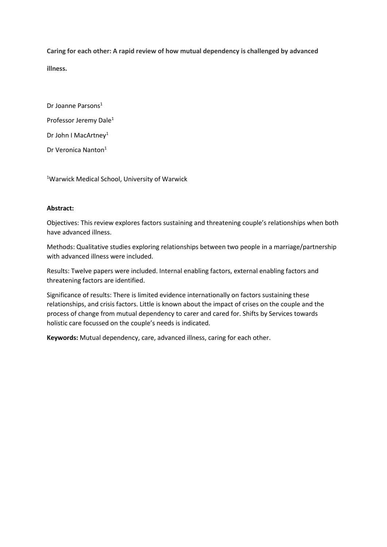**Caring for each other: A rapid review of how mutual dependency is challenged by advanced illness.** 

Dr Joanne Parsons<sup>1</sup> Professor Jeremy Dale<sup>1</sup> Dr John I MacArtney<sup>1</sup> Dr Veronica Nanton<sup>1</sup>

<sup>1</sup>Warwick Medical School, University of Warwick

# **Abstract:**

Objectives: This review explores factors sustaining and threatening couple's relationships when both have advanced illness.

Methods: Qualitative studies exploring relationships between two people in a marriage/partnership with advanced illness were included.

Results: Twelve papers were included. Internal enabling factors, external enabling factors and threatening factors are identified.

Significance of results: There is limited evidence internationally on factors sustaining these relationships, and crisis factors. Little is known about the impact of crises on the couple and the process of change from mutual dependency to carer and cared for. Shifts by Services towards holistic care focussed on the couple's needs is indicated.

**Keywords:** Mutual dependency, care, advanced illness, caring for each other.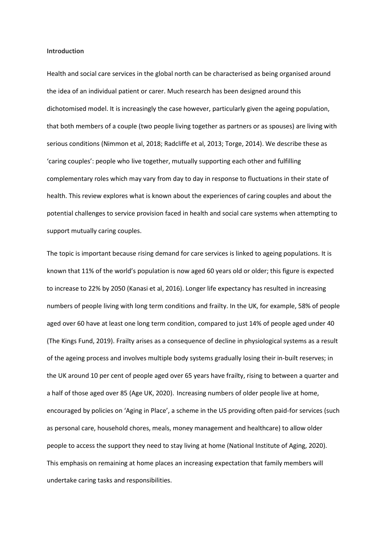#### **Introduction**

Health and social care services in the global north can be characterised as being organised around the idea of an individual patient or carer. Much research has been designed around this dichotomised model. It is increasingly the case however, particularly given the ageing population, that both members of a couple (two people living together as partners or as spouses) are living with serious conditions (Nimmon et al, 2018; Radcliffe et al, 2013; Torge, 2014). We describe these as 'caring couples': people who live together, mutually supporting each other and fulfilling complementary roles which may vary from day to day in response to fluctuations in their state of health. This review explores what is known about the experiences of caring couples and about the potential challenges to service provision faced in health and social care systems when attempting to support mutually caring couples.

The topic is important because rising demand for care services is linked to ageing populations. It is known that 11% of the world's population is now aged 60 years old or older; this figure is expected to increase to 22% by 2050 (Kanasi et al, 2016). Longer life expectancy has resulted in increasing numbers of people living with long term conditions and frailty. In the UK, for example, 58% of people aged over 60 have at least one long term condition, compared to just 14% of people aged under 40 (The Kings Fund, 2019). Frailty arises as a consequence of decline in physiological systems as a result of the ageing process and involves multiple body systems gradually losing their in-built reserves; in the UK around 10 per cent of people aged over 65 years have frailty, rising to between a quarter and a half of those aged over 85 (Age UK, 2020). Increasing numbers of older people live at home, encouraged by policies on 'Aging in Place', a scheme in the US providing often paid-for services (such as personal care, household chores, meals, money management and healthcare) to allow older people to access the support they need to stay living at home (National Institute of Aging, 2020). This emphasis on remaining at home places an increasing expectation that family members will undertake caring tasks and responsibilities.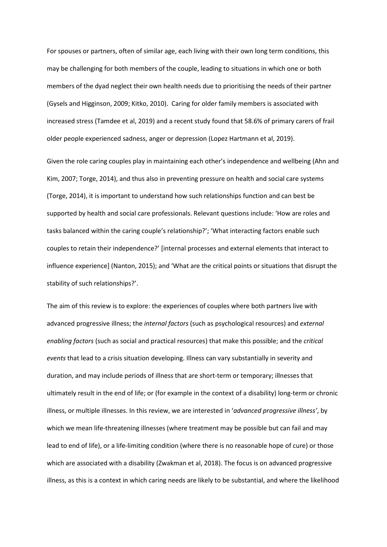For spouses or partners, often of similar age, each living with their own long term conditions, this may be challenging for both members of the couple, leading to situations in which one or both members of the dyad neglect their own health needs due to prioritising the needs of their partner (Gysels and Higginson, 2009; Kitko, 2010). Caring for older family members is associated with increased stress (Tamdee et al, 2019) and a recent study found that 58.6% of primary carers of frail older people experienced sadness, anger or depression (Lopez Hartmann et al, 2019).

Given the role caring couples play in maintaining each other's independence and wellbeing (Ahn and Kim, 2007; Torge, 2014), and thus also in preventing pressure on health and social care systems (Torge, 2014), it is important to understand how such relationships function and can best be supported by health and social care professionals. Relevant questions include: 'How are roles and tasks balanced within the caring couple's relationship?'; 'What interacting factors enable such couples to retain their independence?' [internal processes and external elements that interact to influence experience] (Nanton, 2015); and 'What are the critical points or situations that disrupt the stability of such relationships?'.

The aim of this review is to explore: the experiences of couples where both partners live with advanced progressive illness; the *internal factors* (such as psychological resources) and *external enabling factors* (such as social and practical resources) that make this possible; and the *critical events* that lead to a crisis situation developing. Illness can vary substantially in severity and duration, and may include periods of illness that are short-term or temporary; illnesses that ultimately result in the end of life; or (for example in the context of a disability) long-term or chronic illness, or multiple illnesses. In this review, we are interested in '*advanced progressive illness'*, by which we mean life-threatening illnesses (where treatment may be possible but can fail and may lead to end of life), or a life-limiting condition (where there is no reasonable hope of cure) or those which are associated with a disability (Zwakman et al, 2018). The focus is on advanced progressive illness, as this is a context in which caring needs are likely to be substantial, and where the likelihood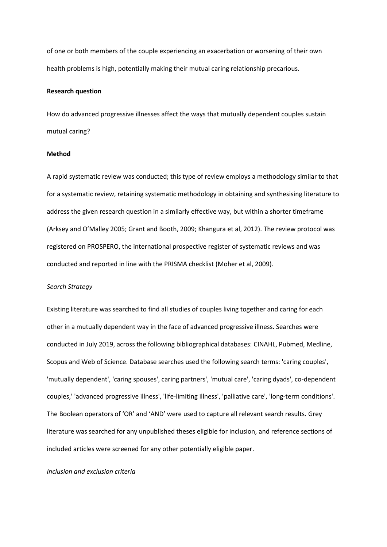of one or both members of the couple experiencing an exacerbation or worsening of their own health problems is high, potentially making their mutual caring relationship precarious.

### **Research question**

How do advanced progressive illnesses affect the ways that mutually dependent couples sustain mutual caring?

# **Method**

A rapid systematic review was conducted; this type of review employs a methodology similar to that for a systematic review, retaining systematic methodology in obtaining and synthesising literature to address the given research question in a similarly effective way, but within a shorter timeframe (Arksey and O'Malley 2005; Grant and Booth, 2009; Khangura et al, 2012). The review protocol was registered on PROSPERO, the international prospective register of systematic reviews and was conducted and reported in line with the PRISMA checklist (Moher et al, 2009).

#### *Search Strategy*

Existing literature was searched to find all studies of couples living together and caring for each other in a mutually dependent way in the face of advanced progressive illness. Searches were conducted in July 2019, across the following bibliographical databases: CINAHL, Pubmed, Medline, Scopus and Web of Science. Database searches used the following search terms: 'caring couples', 'mutually dependent', 'caring spouses', caring partners', 'mutual care', 'caring dyads', co-dependent couples,' 'advanced progressive illness', 'life-limiting illness', 'palliative care', 'long-term conditions'. The Boolean operators of 'OR' and 'AND' were used to capture all relevant search results. Grey literature was searched for any unpublished theses eligible for inclusion, and reference sections of included articles were screened for any other potentially eligible paper.

# *Inclusion and exclusion criteria*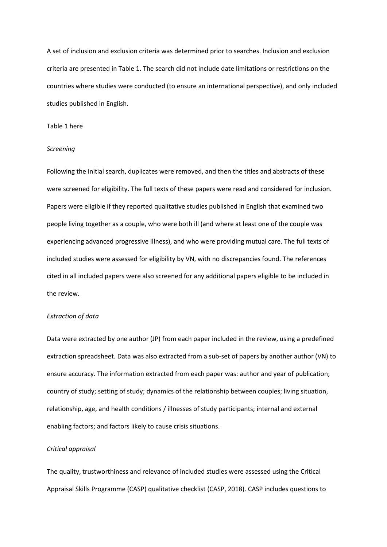A set of inclusion and exclusion criteria was determined prior to searches. Inclusion and exclusion criteria are presented in Table 1. The search did not include date limitations or restrictions on the countries where studies were conducted (to ensure an international perspective), and only included studies published in English.

# Table 1 here

#### *Screening*

Following the initial search, duplicates were removed, and then the titles and abstracts of these were screened for eligibility. The full texts of these papers were read and considered for inclusion. Papers were eligible if they reported qualitative studies published in English that examined two people living together as a couple, who were both ill (and where at least one of the couple was experiencing advanced progressive illness), and who were providing mutual care. The full texts of included studies were assessed for eligibility by VN, with no discrepancies found. The references cited in all included papers were also screened for any additional papers eligible to be included in the review.

# *Extraction of data*

Data were extracted by one author (JP) from each paper included in the review, using a predefined extraction spreadsheet. Data was also extracted from a sub-set of papers by another author (VN) to ensure accuracy. The information extracted from each paper was: author and year of publication; country of study; setting of study; dynamics of the relationship between couples; living situation, relationship, age, and health conditions / illnesses of study participants; internal and external enabling factors; and factors likely to cause crisis situations.

### *Critical appraisal*

The quality, trustworthiness and relevance of included studies were assessed using the Critical Appraisal Skills Programme (CASP) qualitative checklist (CASP, 2018). CASP includes questions to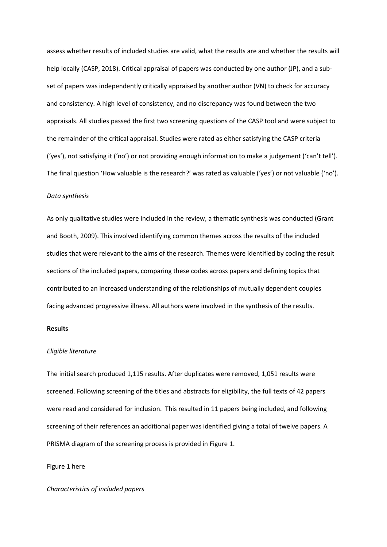assess whether results of included studies are valid, what the results are and whether the results will help locally (CASP, 2018). Critical appraisal of papers was conducted by one author (JP), and a subset of papers was independently critically appraised by another author (VN) to check for accuracy and consistency. A high level of consistency, and no discrepancy was found between the two appraisals. All studies passed the first two screening questions of the CASP tool and were subject to the remainder of the critical appraisal. Studies were rated as either satisfying the CASP criteria ('yes'), not satisfying it ('no') or not providing enough information to make a judgement ('can't tell'). The final question 'How valuable is the research?' was rated as valuable ('yes') or not valuable ('no').

# *Data synthesis*

As only qualitative studies were included in the review, a thematic synthesis was conducted (Grant and Booth, 2009). This involved identifying common themes across the results of the included studies that were relevant to the aims of the research. Themes were identified by coding the result sections of the included papers, comparing these codes across papers and defining topics that contributed to an increased understanding of the relationships of mutually dependent couples facing advanced progressive illness. All authors were involved in the synthesis of the results.

# **Results**

# *Eligible literature*

The initial search produced 1,115 results. After duplicates were removed, 1,051 results were screened. Following screening of the titles and abstracts for eligibility, the full texts of 42 papers were read and considered for inclusion. This resulted in 11 papers being included, and following screening of their references an additional paper was identified giving a total of twelve papers. A PRISMA diagram of the screening process is provided in Figure 1.

# Figure 1 here

# *Characteristics of included papers*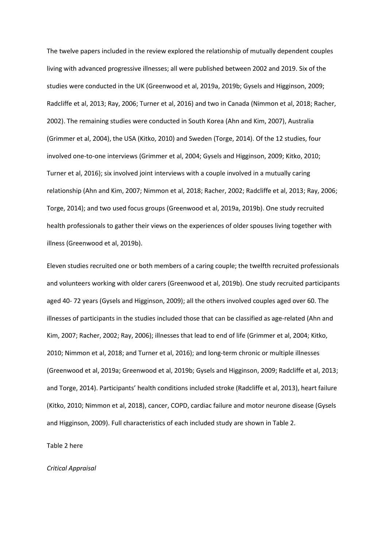The twelve papers included in the review explored the relationship of mutually dependent couples living with advanced progressive illnesses; all were published between 2002 and 2019. Six of the studies were conducted in the UK (Greenwood et al, 2019a, 2019b; Gysels and Higginson, 2009; Radcliffe et al, 2013; Ray, 2006; Turner et al, 2016) and two in Canada (Nimmon et al, 2018; Racher, 2002). The remaining studies were conducted in South Korea (Ahn and Kim, 2007), Australia (Grimmer et al, 2004), the USA (Kitko, 2010) and Sweden (Torge, 2014). Of the 12 studies, four involved one-to-one interviews (Grimmer et al, 2004; Gysels and Higginson, 2009; Kitko, 2010; Turner et al, 2016); six involved joint interviews with a couple involved in a mutually caring relationship (Ahn and Kim, 2007; Nimmon et al, 2018; Racher, 2002; Radcliffe et al, 2013; Ray, 2006; Torge, 2014); and two used focus groups (Greenwood et al, 2019a, 2019b). One study recruited health professionals to gather their views on the experiences of older spouses living together with illness (Greenwood et al, 2019b).

Eleven studies recruited one or both members of a caring couple; the twelfth recruited professionals and volunteers working with older carers (Greenwood et al, 2019b). One study recruited participants aged 40- 72 years (Gysels and Higginson, 2009); all the others involved couples aged over 60. The illnesses of participants in the studies included those that can be classified as age-related (Ahn and Kim, 2007; Racher, 2002; Ray, 2006); illnesses that lead to end of life (Grimmer et al, 2004; Kitko, 2010; Nimmon et al, 2018; and Turner et al, 2016); and long-term chronic or multiple illnesses (Greenwood et al, 2019a; Greenwood et al, 2019b; Gysels and Higginson, 2009; Radcliffe et al, 2013; and Torge, 2014). Participants' health conditions included stroke (Radcliffe et al, 2013), heart failure (Kitko, 2010; Nimmon et al, 2018), cancer, COPD, cardiac failure and motor neurone disease (Gysels and Higginson, 2009). Full characteristics of each included study are shown in Table 2.

Table 2 here

#### *Critical Appraisal*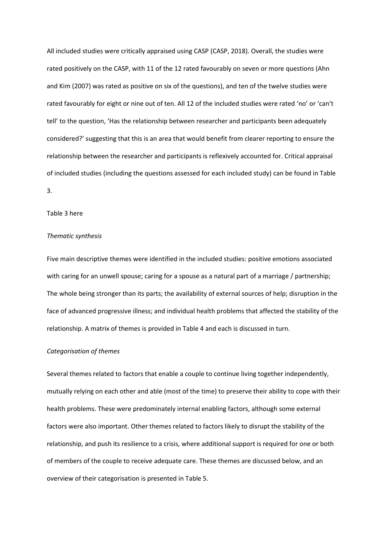All included studies were critically appraised using CASP (CASP, 2018). Overall, the studies were rated positively on the CASP, with 11 of the 12 rated favourably on seven or more questions (Ahn and Kim (2007) was rated as positive on six of the questions), and ten of the twelve studies were rated favourably for eight or nine out of ten. All 12 of the included studies were rated 'no' or 'can't tell' to the question, 'Has the relationship between researcher and participants been adequately considered?' suggesting that this is an area that would benefit from clearer reporting to ensure the relationship between the researcher and participants is reflexively accounted for. Critical appraisal of included studies (including the questions assessed for each included study) can be found in Table 3.

# Table 3 here

#### *Thematic synthesis*

Five main descriptive themes were identified in the included studies: positive emotions associated with caring for an unwell spouse; caring for a spouse as a natural part of a marriage / partnership; The whole being stronger than its parts; the availability of external sources of help; disruption in the face of advanced progressive illness; and individual health problems that affected the stability of the relationship. A matrix of themes is provided in Table 4 and each is discussed in turn.

# *Categorisation of themes*

Several themes related to factors that enable a couple to continue living together independently, mutually relying on each other and able (most of the time) to preserve their ability to cope with their health problems. These were predominately internal enabling factors, although some external factors were also important. Other themes related to factors likely to disrupt the stability of the relationship, and push its resilience to a crisis, where additional support is required for one or both of members of the couple to receive adequate care. These themes are discussed below, and an overview of their categorisation is presented in Table 5.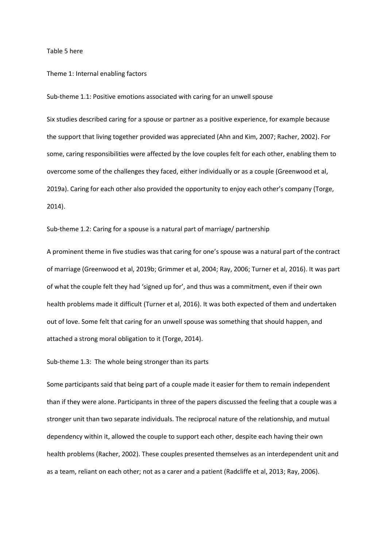#### Table 5 here

Theme 1: Internal enabling factors

Sub-theme 1.1: Positive emotions associated with caring for an unwell spouse

Six studies described caring for a spouse or partner as a positive experience, for example because the support that living together provided was appreciated (Ahn and Kim, 2007; Racher, 2002). For some, caring responsibilities were affected by the love couples felt for each other, enabling them to overcome some of the challenges they faced, either individually or as a couple (Greenwood et al, 2019a). Caring for each other also provided the opportunity to enjoy each other's company (Torge, 2014).

Sub-theme 1.2: Caring for a spouse is a natural part of marriage/ partnership

A prominent theme in five studies was that caring for one's spouse was a natural part of the contract of marriage (Greenwood et al, 2019b; Grimmer et al, 2004; Ray, 2006; Turner et al, 2016). It was part of what the couple felt they had 'signed up for', and thus was a commitment, even if their own health problems made it difficult (Turner et al, 2016). It was both expected of them and undertaken out of love. Some felt that caring for an unwell spouse was something that should happen, and attached a strong moral obligation to it (Torge, 2014).

Sub-theme 1.3: The whole being stronger than its parts

Some participants said that being part of a couple made it easier for them to remain independent than if they were alone. Participants in three of the papers discussed the feeling that a couple was a stronger unit than two separate individuals. The reciprocal nature of the relationship, and mutual dependency within it, allowed the couple to support each other, despite each having their own health problems (Racher, 2002). These couples presented themselves as an interdependent unit and as a team, reliant on each other; not as a carer and a patient (Radcliffe et al, 2013; Ray, 2006).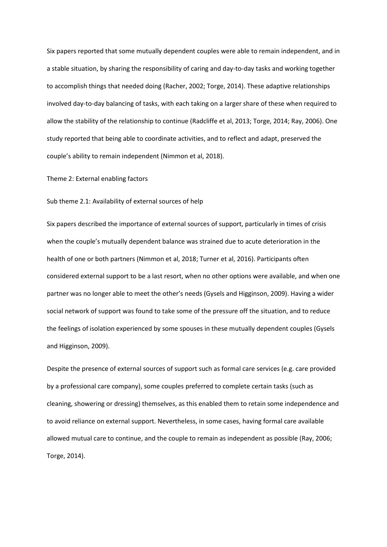Six papers reported that some mutually dependent couples were able to remain independent, and in a stable situation, by sharing the responsibility of caring and day-to-day tasks and working together to accomplish things that needed doing (Racher, 2002; Torge, 2014). These adaptive relationships involved day-to-day balancing of tasks, with each taking on a larger share of these when required to allow the stability of the relationship to continue (Radcliffe et al, 2013; Torge, 2014; Ray, 2006). One study reported that being able to coordinate activities, and to reflect and adapt, preserved the couple's ability to remain independent (Nimmon et al, 2018).

Theme 2: External enabling factors

#### Sub theme 2.1: Availability of external sources of help

Six papers described the importance of external sources of support, particularly in times of crisis when the couple's mutually dependent balance was strained due to acute deterioration in the health of one or both partners (Nimmon et al, 2018; Turner et al, 2016). Participants often considered external support to be a last resort, when no other options were available, and when one partner was no longer able to meet the other's needs (Gysels and Higginson, 2009). Having a wider social network of support was found to take some of the pressure off the situation, and to reduce the feelings of isolation experienced by some spouses in these mutually dependent couples (Gysels and Higginson, 2009).

Despite the presence of external sources of support such as formal care services (e.g. care provided by a professional care company), some couples preferred to complete certain tasks (such as cleaning, showering or dressing) themselves, as this enabled them to retain some independence and to avoid reliance on external support. Nevertheless, in some cases, having formal care available allowed mutual care to continue, and the couple to remain as independent as possible (Ray, 2006; Torge, 2014).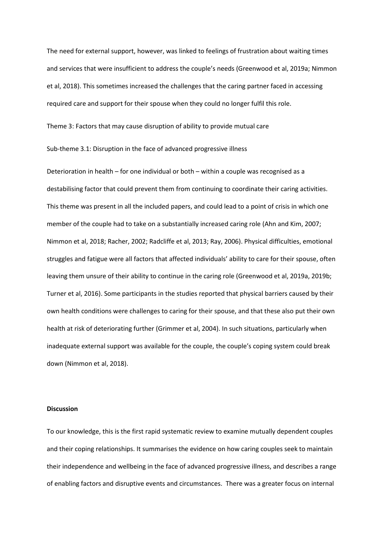The need for external support, however, was linked to feelings of frustration about waiting times and services that were insufficient to address the couple's needs (Greenwood et al, 2019a; Nimmon et al, 2018). This sometimes increased the challenges that the caring partner faced in accessing required care and support for their spouse when they could no longer fulfil this role.

Theme 3: Factors that may cause disruption of ability to provide mutual care

Sub-theme 3.1: Disruption in the face of advanced progressive illness

Deterioration in health – for one individual or both – within a couple was recognised as a destabilising factor that could prevent them from continuing to coordinate their caring activities. This theme was present in all the included papers, and could lead to a point of crisis in which one member of the couple had to take on a substantially increased caring role (Ahn and Kim, 2007; Nimmon et al, 2018; Racher, 2002; Radcliffe et al, 2013; Ray, 2006). Physical difficulties, emotional struggles and fatigue were all factors that affected individuals' ability to care for their spouse, often leaving them unsure of their ability to continue in the caring role (Greenwood et al, 2019a, 2019b; Turner et al, 2016). Some participants in the studies reported that physical barriers caused by their own health conditions were challenges to caring for their spouse, and that these also put their own health at risk of deteriorating further (Grimmer et al, 2004). In such situations, particularly when inadequate external support was available for the couple, the couple's coping system could break down (Nimmon et al, 2018).

# **Discussion**

To our knowledge, this is the first rapid systematic review to examine mutually dependent couples and their coping relationships. It summarises the evidence on how caring couples seek to maintain their independence and wellbeing in the face of advanced progressive illness, and describes a range of enabling factors and disruptive events and circumstances. There was a greater focus on internal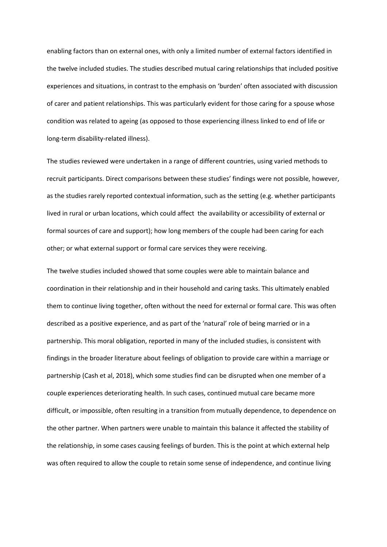enabling factors than on external ones, with only a limited number of external factors identified in the twelve included studies. The studies described mutual caring relationships that included positive experiences and situations, in contrast to the emphasis on 'burden' often associated with discussion of carer and patient relationships. This was particularly evident for those caring for a spouse whose condition was related to ageing (as opposed to those experiencing illness linked to end of life or long-term disability-related illness).

The studies reviewed were undertaken in a range of different countries, using varied methods to recruit participants. Direct comparisons between these studies' findings were not possible, however, as the studies rarely reported contextual information, such as the setting (e.g. whether participants lived in rural or urban locations, which could affect the availability or accessibility of external or formal sources of care and support); how long members of the couple had been caring for each other; or what external support or formal care services they were receiving.

The twelve studies included showed that some couples were able to maintain balance and coordination in their relationship and in their household and caring tasks. This ultimately enabled them to continue living together, often without the need for external or formal care. This was often described as a positive experience, and as part of the 'natural' role of being married or in a partnership. This moral obligation, reported in many of the included studies, is consistent with findings in the broader literature about feelings of obligation to provide care within a marriage or partnership (Cash et al, 2018), which some studies find can be disrupted when one member of a couple experiences deteriorating health. In such cases, continued mutual care became more difficult, or impossible, often resulting in a transition from mutually dependence, to dependence on the other partner. When partners were unable to maintain this balance it affected the stability of the relationship, in some cases causing feelings of burden. This is the point at which external help was often required to allow the couple to retain some sense of independence, and continue living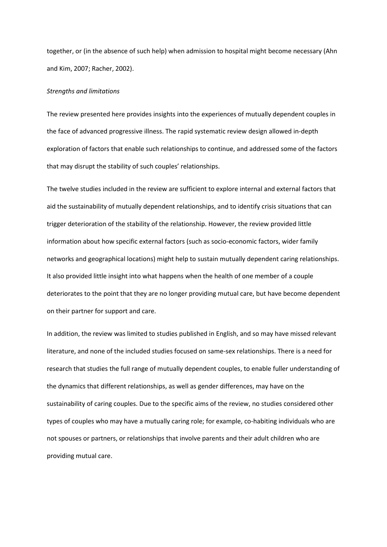together, or (in the absence of such help) when admission to hospital might become necessary (Ahn and Kim, 2007; Racher, 2002).

### *Strengths and limitations*

The review presented here provides insights into the experiences of mutually dependent couples in the face of advanced progressive illness. The rapid systematic review design allowed in-depth exploration of factors that enable such relationships to continue, and addressed some of the factors that may disrupt the stability of such couples' relationships.

The twelve studies included in the review are sufficient to explore internal and external factors that aid the sustainability of mutually dependent relationships, and to identify crisis situations that can trigger deterioration of the stability of the relationship. However, the review provided little information about how specific external factors (such as socio-economic factors, wider family networks and geographical locations) might help to sustain mutually dependent caring relationships. It also provided little insight into what happens when the health of one member of a couple deteriorates to the point that they are no longer providing mutual care, but have become dependent on their partner for support and care.

In addition, the review was limited to studies published in English, and so may have missed relevant literature, and none of the included studies focused on same-sex relationships. There is a need for research that studies the full range of mutually dependent couples, to enable fuller understanding of the dynamics that different relationships, as well as gender differences, may have on the sustainability of caring couples. Due to the specific aims of the review, no studies considered other types of couples who may have a mutually caring role; for example, co-habiting individuals who are not spouses or partners, or relationships that involve parents and their adult children who are providing mutual care.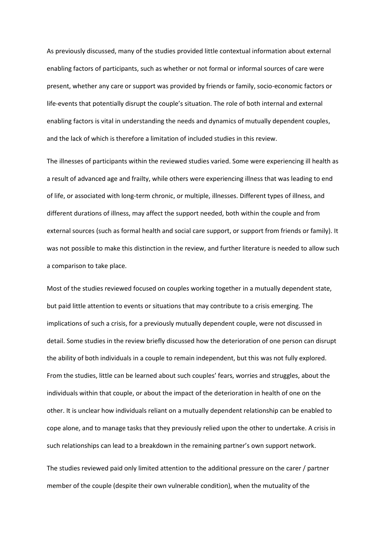As previously discussed, many of the studies provided little contextual information about external enabling factors of participants, such as whether or not formal or informal sources of care were present, whether any care or support was provided by friends or family, socio-economic factors or life-events that potentially disrupt the couple's situation. The role of both internal and external enabling factors is vital in understanding the needs and dynamics of mutually dependent couples, and the lack of which is therefore a limitation of included studies in this review.

The illnesses of participants within the reviewed studies varied. Some were experiencing ill health as a result of advanced age and frailty, while others were experiencing illness that was leading to end of life, or associated with long-term chronic, or multiple, illnesses. Different types of illness, and different durations of illness, may affect the support needed, both within the couple and from external sources (such as formal health and social care support, or support from friends or family). It was not possible to make this distinction in the review, and further literature is needed to allow such a comparison to take place.

Most of the studies reviewed focused on couples working together in a mutually dependent state, but paid little attention to events or situations that may contribute to a crisis emerging. The implications of such a crisis, for a previously mutually dependent couple, were not discussed in detail. Some studies in the review briefly discussed how the deterioration of one person can disrupt the ability of both individuals in a couple to remain independent, but this was not fully explored. From the studies, little can be learned about such couples' fears, worries and struggles, about the individuals within that couple, or about the impact of the deterioration in health of one on the other. It is unclear how individuals reliant on a mutually dependent relationship can be enabled to cope alone, and to manage tasks that they previously relied upon the other to undertake. A crisis in such relationships can lead to a breakdown in the remaining partner's own support network.

The studies reviewed paid only limited attention to the additional pressure on the carer / partner member of the couple (despite their own vulnerable condition), when the mutuality of the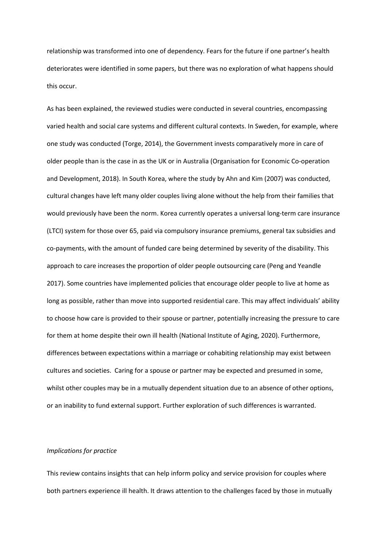relationship was transformed into one of dependency. Fears for the future if one partner's health deteriorates were identified in some papers, but there was no exploration of what happens should this occur.

As has been explained, the reviewed studies were conducted in several countries, encompassing varied health and social care systems and different cultural contexts. In Sweden, for example, where one study was conducted (Torge, 2014), the Government invests comparatively more in care of older people than is the case in as the UK or in Australia (Organisation for Economic Co-operation and Development, 2018). In South Korea, where the study by Ahn and Kim (2007) was conducted, cultural changes have left many older couples living alone without the help from their families that would previously have been the norm. Korea currently operates a universal long-term care insurance (LTCI) system for those over 65, paid via compulsory insurance premiums, general tax subsidies and co-payments, with the amount of funded care being determined by severity of the disability. This approach to care increases the proportion of older people outsourcing care (Peng and Yeandle 2017). Some countries have implemented policies that encourage older people to live at home as long as possible, rather than move into supported residential care. This may affect individuals' ability to choose how care is provided to their spouse or partner, potentially increasing the pressure to care for them at home despite their own ill health (National Institute of Aging, 2020). Furthermore, differences between expectations within a marriage or cohabiting relationship may exist between cultures and societies. Caring for a spouse or partner may be expected and presumed in some, whilst other couples may be in a mutually dependent situation due to an absence of other options, or an inability to fund external support. Further exploration of such differences is warranted.

# *Implications for practice*

This review contains insights that can help inform policy and service provision for couples where both partners experience ill health. It draws attention to the challenges faced by those in mutually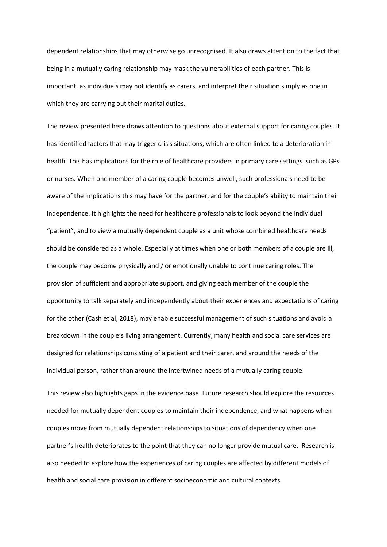dependent relationships that may otherwise go unrecognised. It also draws attention to the fact that being in a mutually caring relationship may mask the vulnerabilities of each partner. This is important, as individuals may not identify as carers, and interpret their situation simply as one in which they are carrying out their marital duties.

The review presented here draws attention to questions about external support for caring couples. It has identified factors that may trigger crisis situations, which are often linked to a deterioration in health. This has implications for the role of healthcare providers in primary care settings, such as GPs or nurses. When one member of a caring couple becomes unwell, such professionals need to be aware of the implications this may have for the partner, and for the couple's ability to maintain their independence. It highlights the need for healthcare professionals to look beyond the individual "patient", and to view a mutually dependent couple as a unit whose combined healthcare needs should be considered as a whole. Especially at times when one or both members of a couple are ill, the couple may become physically and / or emotionally unable to continue caring roles. The provision of sufficient and appropriate support, and giving each member of the couple the opportunity to talk separately and independently about their experiences and expectations of caring for the other (Cash et al, 2018), may enable successful management of such situations and avoid a breakdown in the couple's living arrangement. Currently, many health and social care services are designed for relationships consisting of a patient and their carer, and around the needs of the individual person, rather than around the intertwined needs of a mutually caring couple.

This review also highlights gaps in the evidence base. Future research should explore the resources needed for mutually dependent couples to maintain their independence, and what happens when couples move from mutually dependent relationships to situations of dependency when one partner's health deteriorates to the point that they can no longer provide mutual care. Research is also needed to explore how the experiences of caring couples are affected by different models of health and social care provision in different socioeconomic and cultural contexts.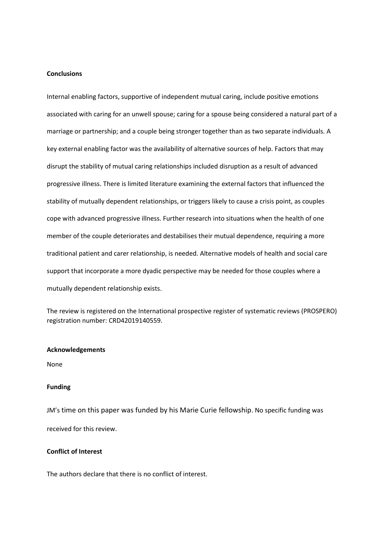# **Conclusions**

Internal enabling factors, supportive of independent mutual caring, include positive emotions associated with caring for an unwell spouse; caring for a spouse being considered a natural part of a marriage or partnership; and a couple being stronger together than as two separate individuals. A key external enabling factor was the availability of alternative sources of help. Factors that may disrupt the stability of mutual caring relationships included disruption as a result of advanced progressive illness. There is limited literature examining the external factors that influenced the stability of mutually dependent relationships, or triggers likely to cause a crisis point, as couples cope with advanced progressive illness. Further research into situations when the health of one member of the couple deteriorates and destabilises their mutual dependence, requiring a more traditional patient and carer relationship, is needed. Alternative models of health and social care support that incorporate a more dyadic perspective may be needed for those couples where a mutually dependent relationship exists.

The review is registered on the International prospective register of systematic reviews (PROSPERO) registration number: CRD42019140559.

#### **Acknowledgements**

None

# **Funding**

JM's time on this paper was funded by his Marie Curie fellowship. No specific funding was received for this review.

# **Conflict of Interest**

The authors declare that there is no conflict of interest.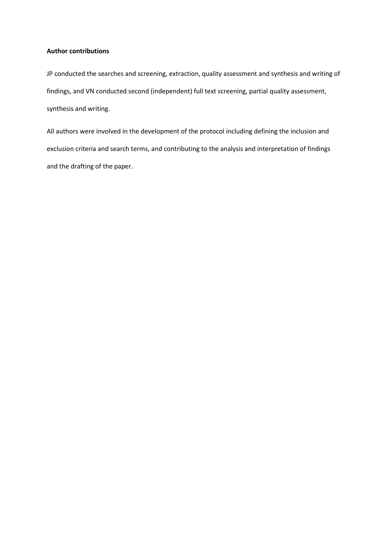# **Author contributions**

JP conducted the searches and screening, extraction, quality assessment and synthesis and writing of findings, and VN conducted second (independent) full text screening, partial quality assessment, synthesis and writing.

All authors were involved in the development of the protocol including defining the inclusion and exclusion criteria and search terms, and contributing to the analysis and interpretation of findings and the drafting of the paper.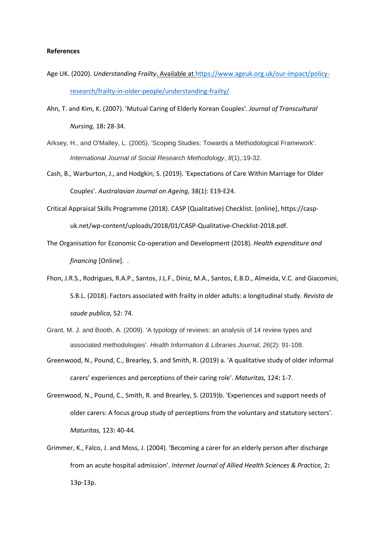# **References**

- Age UK. (2020). *Understanding Frailty*. Available a[t https://www.ageuk.org.uk/our-impact/policy](https://www.ageuk.org.uk/our-impact/policy-research/frailty-in-older-people/understanding-frailty/)[research/frailty-in-older-people/understanding-frailty/](https://www.ageuk.org.uk/our-impact/policy-research/frailty-in-older-people/understanding-frailty/)
- Ahn, T. and Kim, K. (2007). 'Mutual Caring of Elderly Korean Couples'. *Journal of Transcultural Nursing,* 18**:** 28-34.
- Arksey, H., and O'Malley, L. (2005). 'Scoping Studies: Towards a Methodological Framework'. *International Journal of Social Research Methodology*, *8*(1),:19-32.
- Cash, B., Warburton, J., and Hodgkin, S. (2019). 'Expectations of Care Within Marriage for Older Couples'. *Australasian Journal on Ageing*, 38(1): E19-E24.
- Critical Appraisal Skills Programme (2018). CASP (Qualitative) Checklist. [online], https://caspuk.net/wp-content/uploads/2018/01/CASP-Qualitative-Checklist-2018.pdf.
- The Organisation for Economic Co-operation and Development (2018). *Health expenditure and financing* [Online]. .
- Fhon, J.R.S., Rodrigues, R.A.P., Santos, J.L.F., Diniz, M.A., Santos, E.B.D., Almeida, V.C. and Giacomini, S.B.L. (2018). Factors associated with frailty in older adults: a longitudinal study. *Revista de saude publica*, 52: 74.
- Grant, M. J. and Booth, A. (2009). 'A typology of reviews: an analysis of 14 review types and associated methodologies'. *Health Information & Libraries Journal*, *26*(2): 91-108.
- Greenwood, N., Pound, C., Brearley, S. and Smith, R. (2019) a. 'A qualitative study of older informal carers' experiences and perceptions of their caring role'. *Maturitas,* 124**:** 1-7.
- Greenwood, N., Pound, C., Smith, R. and Brearley, S. (2019)b. 'Experiences and support needs of older carers: A focus group study of perceptions from the voluntary and statutory sectors'. *Maturitas,* 123**:** 40-44.
- Grimmer, K., Falco, J. and Moss, J. (2004). 'Becoming a carer for an elderly person after discharge from an acute hospital admission'. *Internet Journal of Allied Health Sciences & Practice,* 2**:** 13p-13p.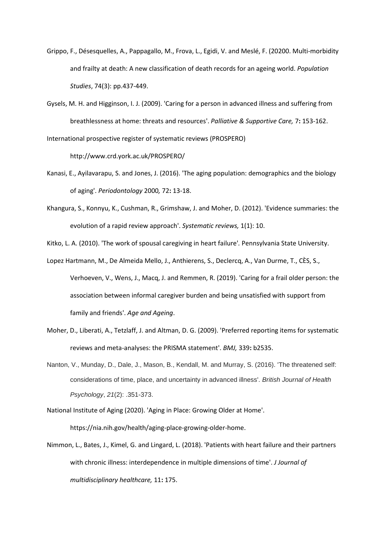- Grippo, F., Désesquelles, A., Pappagallo, M., Frova, L., Egidi, V. and Meslé, F. (20200. Multi-morbidity and frailty at death: A new classification of death records for an ageing world. *Population Studies*, 74(3): pp.437-449.
- Gysels, M. H. and Higginson, I. J. (2009). 'Caring for a person in advanced illness and suffering from breathlessness at home: threats and resources'. *Palliative & Supportive Care,* 7**:** 153-162.

International prospective register of systematic reviews (PROSPERO)

http://www.crd.york.ac.uk/PROSPERO/

- Kanasi, E., Ayilavarapu, S. and Jones, J. (2016). 'The aging population: demographics and the biology of aging'. *Periodontology* 2000*,* 72**:** 13-18.
- Khangura, S., Konnyu, K., Cushman, R., Grimshaw, J. and Moher, D. (2012). 'Evidence summaries: the evolution of a rapid review approach'. *Systematic reviews,* 1(1): 10.

Kitko, L. A. (2010). 'The work of spousal caregiving in heart failure'*.* Pennsylvania State University.

- Lopez Hartmann, M., De Almeida Mello, J., Anthierens, S., Declercq, A., Van Durme, T., CÈS, S., Verhoeven, V., Wens, J., Macq, J. and Remmen, R. (2019). 'Caring for a frail older person: the association between informal caregiver burden and being unsatisfied with support from family and friends'. *Age and Ageing*.
- Moher, D., Liberati, A., Tetzlaff, J. and Altman, D. G. (2009). 'Preferred reporting items for systematic reviews and meta-analyses: the PRISMA statement'. *BMJ,* 339**:** b2535.
- Nanton, V., Munday, D., Dale, J., Mason, B., Kendall, M. and Murray, S. (2016). 'The threatened self: considerations of time, place, and uncertainty in advanced illness'. *British Journal of Health Psychology*, *21*(2): .351-373.
- National Institute of Aging (2020). 'Aging in Place: Growing Older at Home'. https://nia.nih.gov/health/aging-place-growing-older-home.
- Nimmon, L., Bates, J., Kimel, G. and Lingard, L. (2018). 'Patients with heart failure and their partners with chronic illness: interdependence in multiple dimensions of time'. *J Journal of multidisciplinary healthcare,* 11**:** 175.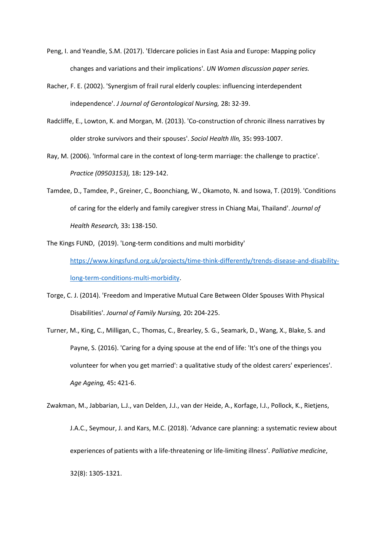- Peng, I. and Yeandle, S.M. (2017). 'Eldercare policies in East Asia and Europe: Mapping policy changes and variations and their implications'. *UN Women discussion paper series.*
- Racher, F. E. (2002). 'Synergism of frail rural elderly couples: influencing interdependent independence'. *J Journal of Gerontological Nursing,* 28**:** 32-39.
- Radcliffe, E., Lowton, K. and Morgan, M. (2013). 'Co-construction of chronic illness narratives by older stroke survivors and their spouses'. *Sociol Health Illn,* 35**:** 993-1007.
- Ray, M. (2006). 'Informal care in the context of long-term marriage: the challenge to practice'. *Practice (09503153),* 18**:** 129-142.
- Tamdee, D., Tamdee, P., Greiner, C., Boonchiang, W., Okamoto, N. and Isowa, T. (2019). 'Conditions of caring for the elderly and family caregiver stress in Chiang Mai, Thailand'. *Journal of Health Research,* 33**:** 138-150.

The Kings FUND, (2019). 'Long-term conditions and multi morbidity'

[https://www.kingsfund.org.uk/projects/time-think-differently/trends-disease-and-disability](https://www.kingsfund.org.uk/projects/time-think-differently/trends-disease-and-disability-long-term-conditions-multi-morbidity)[long-term-conditions-multi-morbidity.](https://www.kingsfund.org.uk/projects/time-think-differently/trends-disease-and-disability-long-term-conditions-multi-morbidity)

- Torge, C. J. (2014). 'Freedom and Imperative Mutual Care Between Older Spouses With Physical Disabilities'. *Journal of Family Nursing,* 20**:** 204-225.
- Turner, M., King, C., Milligan, C., Thomas, C., Brearley, S. G., Seamark, D., Wang, X., Blake, S. and Payne, S. (2016). 'Caring for a dying spouse at the end of life: 'It's one of the things you volunteer for when you get married': a qualitative study of the oldest carers' experiences'. *Age Ageing,* 45**:** 421-6.

Zwakman, M., Jabbarian, L.J., van Delden, J.J., van der Heide, A., Korfage, I.J., Pollock, K., Rietjens, J.A.C., Seymour, J. and Kars, M.C. (2018). 'Advance care planning: a systematic review about experiences of patients with a life-threatening or life-limiting illness'. *Palliative medicine*, 32(8): 1305-1321.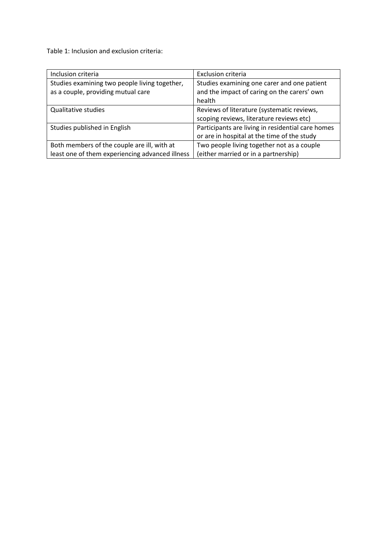Table 1: Inclusion and exclusion criteria:

| Inclusion criteria                                                                  | <b>Exclusion criteria</b>                                                                            |
|-------------------------------------------------------------------------------------|------------------------------------------------------------------------------------------------------|
| Studies examining two people living together,<br>as a couple, providing mutual care | Studies examining one carer and one patient<br>and the impact of caring on the carers' own<br>health |
| Qualitative studies                                                                 | Reviews of literature (systematic reviews,<br>scoping reviews, literature reviews etc)               |
| Studies published in English                                                        | Participants are living in residential care homes<br>or are in hospital at the time of the study     |
| Both members of the couple are ill, with at                                         | Two people living together not as a couple                                                           |
| least one of them experiencing advanced illness                                     | (either married or in a partnership)                                                                 |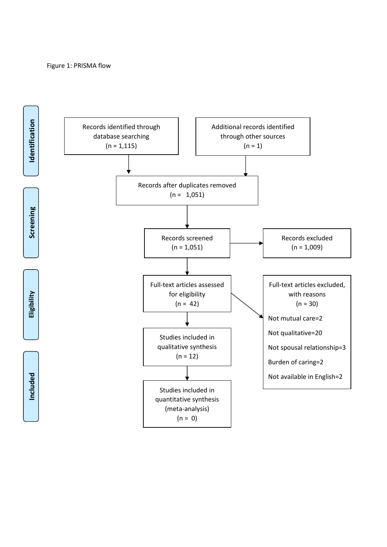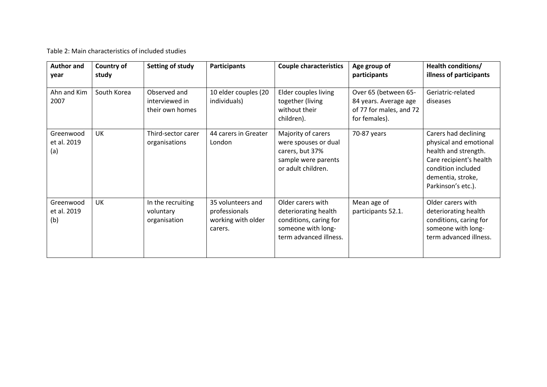Table 2: Main characteristics of included studies

| <b>Author and</b><br>year       | Country of<br>study | Setting of study                                  | <b>Participants</b>                                                 | <b>Couple characteristics</b>                                                                                       | Age group of<br>participants                                                              | Health conditions/<br>illness of participants                                                                                                                      |
|---------------------------------|---------------------|---------------------------------------------------|---------------------------------------------------------------------|---------------------------------------------------------------------------------------------------------------------|-------------------------------------------------------------------------------------------|--------------------------------------------------------------------------------------------------------------------------------------------------------------------|
| Ahn and Kim<br>2007             | South Korea         | Observed and<br>interviewed in<br>their own homes | 10 elder couples (20<br>individuals)                                | Elder couples living<br>together (living<br>without their<br>children).                                             | Over 65 (between 65-<br>84 years. Average age<br>of 77 for males, and 72<br>for females). | Geriatric-related<br>diseases                                                                                                                                      |
| Greenwood<br>et al. 2019<br>(a) | UK                  | Third-sector carer<br>organisations               | 44 carers in Greater<br>London                                      | Majority of carers<br>were spouses or dual<br>carers, but 37%<br>sample were parents<br>or adult children.          | 70-87 years                                                                               | Carers had declining<br>physical and emotional<br>health and strength.<br>Care recipient's health<br>condition included<br>dementia, stroke,<br>Parkinson's etc.). |
| Greenwood<br>et al. 2019<br>(b) | UK                  | In the recruiting<br>voluntary<br>organisation    | 35 volunteers and<br>professionals<br>working with older<br>carers. | Older carers with<br>deteriorating health<br>conditions, caring for<br>someone with long-<br>term advanced illness. | Mean age of<br>participants 52.1.                                                         | Older carers with<br>deteriorating health<br>conditions, caring for<br>someone with long-<br>term advanced illness.                                                |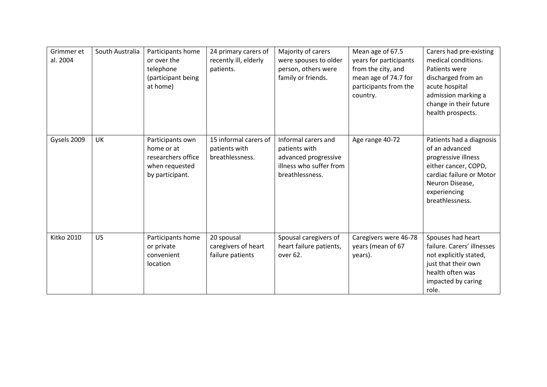| Grimmer et<br>al. 2004 | South Australia | Participants home<br>or over the<br>telephone<br>(participant being<br>at home)           | 24 primary carers of<br>recently ill, elderly<br>patients. | Majority of carers<br>were spouses to older<br>person, others were<br>family or friends.                   | Mean age of 67.5<br>years for participants<br>from the city, and<br>mean age of 74.7 for<br>participants from the<br>country. | Carers had pre-existing<br>medical conditions.<br>Patients were<br>discharged from an<br>acute hospital<br>admission marking a<br>change in their future<br>health prospects. |
|------------------------|-----------------|-------------------------------------------------------------------------------------------|------------------------------------------------------------|------------------------------------------------------------------------------------------------------------|-------------------------------------------------------------------------------------------------------------------------------|-------------------------------------------------------------------------------------------------------------------------------------------------------------------------------|
| Gysels 2009            | UK              | Participants own<br>home or at<br>researchers office<br>when requested<br>by participant. | 15 informal carers of<br>patients with<br>breathlessness.  | Informal carers and<br>patients with<br>advanced progressive<br>illness who suffer from<br>breathlessness. | Age range 40-72                                                                                                               | Patients had a diagnosis<br>of an advanced<br>progressive illness<br>either cancer, COPD,<br>cardiac failure or Motor<br>Neuron Disease,<br>experiencing<br>breathlessness.   |
| <b>Kitko 2010</b>      | <b>US</b>       | Participants home<br>or private<br>convenient<br>location                                 | 20 spousal<br>caregivers of heart<br>failure patients      | Spousal caregivers of<br>heart failure patients,<br>over 62.                                               | Caregivers were 46-78<br>years (mean of 67<br>years).                                                                         | Spouses had heart<br>failure. Carers' illnesses<br>not explicitly stated,<br>just that their own<br>health often was<br>impacted by caring<br>role.                           |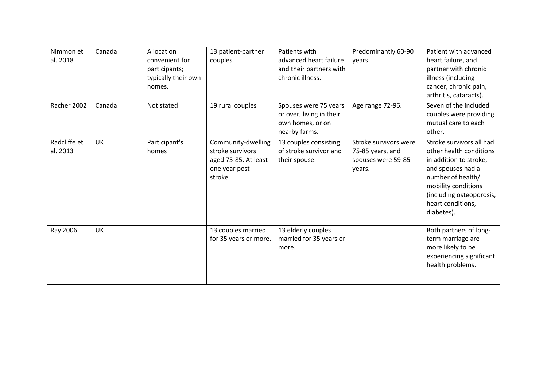| Nimmon et<br>al. 2018    | Canada    | A location<br>convenient for<br>participants;<br>typically their own<br>homes. | 13 patient-partner<br>couples.                                                             | Patients with<br>advanced heart failure<br>and their partners with<br>chronic illness. | Predominantly 60-90<br>vears                                              | Patient with advanced<br>heart failure, and<br>partner with chronic<br>illness (including<br>cancer, chronic pain,<br>arthritis, cataracts).                                                                  |
|--------------------------|-----------|--------------------------------------------------------------------------------|--------------------------------------------------------------------------------------------|----------------------------------------------------------------------------------------|---------------------------------------------------------------------------|---------------------------------------------------------------------------------------------------------------------------------------------------------------------------------------------------------------|
| Racher 2002              | Canada    | Not stated                                                                     | 19 rural couples                                                                           | Spouses were 75 years<br>or over, living in their<br>own homes, or on<br>nearby farms. | Age range 72-96.                                                          | Seven of the included<br>couples were providing<br>mutual care to each<br>other.                                                                                                                              |
| Radcliffe et<br>al. 2013 | <b>UK</b> | Participant's<br>homes                                                         | Community-dwelling<br>stroke survivors<br>aged 75-85. At least<br>one year post<br>stroke. | 13 couples consisting<br>of stroke survivor and<br>their spouse.                       | Stroke survivors were<br>75-85 years, and<br>spouses were 59-85<br>years. | Stroke survivors all had<br>other health conditions<br>in addition to stroke,<br>and spouses had a<br>number of health/<br>mobility conditions<br>(including osteoporosis,<br>heart conditions,<br>diabetes). |
| Ray 2006                 | UK        |                                                                                | 13 couples married<br>for 35 years or more.                                                | 13 elderly couples<br>married for 35 years or<br>more.                                 |                                                                           | Both partners of long-<br>term marriage are<br>more likely to be<br>experiencing significant<br>health problems.                                                                                              |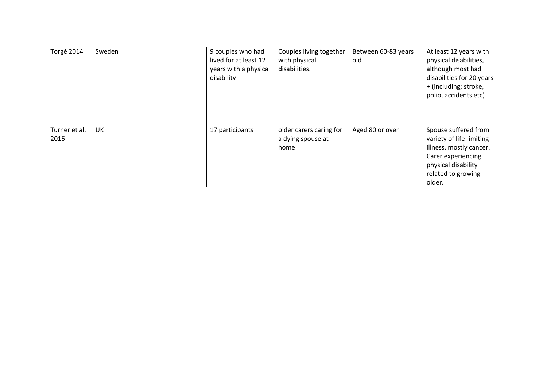| Torgé 2014            | Sweden | 9 couples who had<br>lived for at least 12<br>years with a physical<br>disability | Couples living together<br>with physical<br>disabilities. | Between 60-83 years<br>old | At least 12 years with<br>physical disabilities,<br>although most had<br>disabilities for 20 years<br>+ (including; stroke,<br>polio, accidents etc)     |
|-----------------------|--------|-----------------------------------------------------------------------------------|-----------------------------------------------------------|----------------------------|----------------------------------------------------------------------------------------------------------------------------------------------------------|
| Turner et al.<br>2016 | UK     | 17 participants                                                                   | older carers caring for<br>a dying spouse at<br>home      | Aged 80 or over            | Spouse suffered from<br>variety of life-limiting<br>illness, mostly cancer.<br>Carer experiencing<br>physical disability<br>related to growing<br>older. |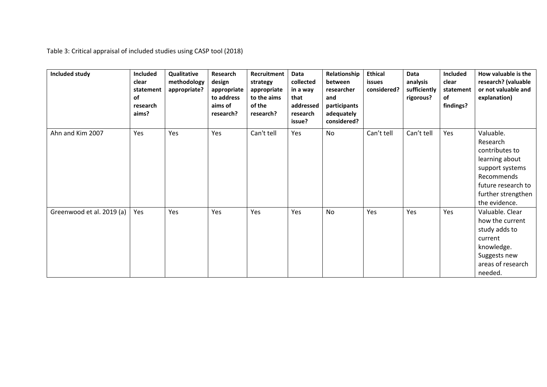Table 3: Critical appraisal of included studies using CASP tool (2018)

| Included study            | <b>Included</b><br>clear<br>statement<br>of<br>research<br>aims? | Qualitative<br>methodology<br>appropriate? | Research<br>design<br>appropriate<br>to address<br>aims of<br>research? | Recruitment<br>strategy<br>appropriate<br>to the aims<br>of the<br>research? | <b>Data</b><br>collected<br>in a way<br>that<br>addressed<br>research<br>issue? | Relationship<br>between<br>researcher<br>and<br>participants<br>adequately<br>considered? | <b>Ethical</b><br>issues<br>considered? | <b>Data</b><br>analysis<br>sufficiently<br>rigorous? | Included<br>clear<br>statement<br>of<br>findings? | How valuable is the<br>research? (valuable<br>or not valuable and<br>explanation)                                                                       |
|---------------------------|------------------------------------------------------------------|--------------------------------------------|-------------------------------------------------------------------------|------------------------------------------------------------------------------|---------------------------------------------------------------------------------|-------------------------------------------------------------------------------------------|-----------------------------------------|------------------------------------------------------|---------------------------------------------------|---------------------------------------------------------------------------------------------------------------------------------------------------------|
| Ahn and Kim 2007          | Yes                                                              | Yes                                        | Yes                                                                     | Can't tell                                                                   | Yes                                                                             | <b>No</b>                                                                                 | Can't tell                              | Can't tell                                           | Yes                                               | Valuable.<br>Research<br>contributes to<br>learning about<br>support systems<br>Recommends<br>future research to<br>further strengthen<br>the evidence. |
| Greenwood et al. 2019 (a) | Yes                                                              | Yes                                        | Yes                                                                     | Yes                                                                          | Yes                                                                             | <b>No</b>                                                                                 | Yes                                     | Yes                                                  | Yes                                               | Valuable. Clear<br>how the current<br>study adds to<br>current<br>knowledge.<br>Suggests new<br>areas of research<br>needed.                            |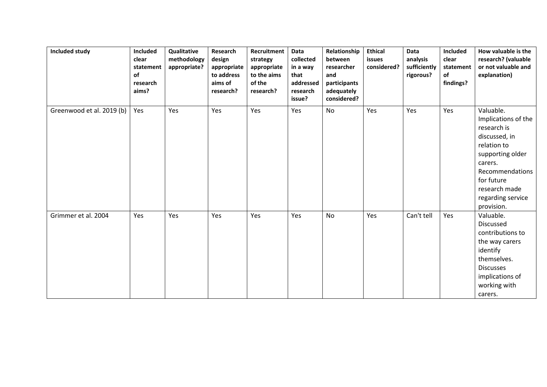| Included study            | Included<br>clear<br>statement<br><b>of</b><br>research<br>aims? | Qualitative<br>methodology<br>appropriate? | Research<br>design<br>appropriate<br>to address<br>aims of<br>research? | Recruitment<br>strategy<br>appropriate<br>to the aims<br>of the<br>research? | Data<br>collected<br>in a way<br>that<br>addressed<br>research<br>issue? | Relationship<br>between<br>researcher<br>and<br>participants<br>adequately<br>considered? | <b>Ethical</b><br>issues<br>considered? | Data<br>analysis<br>sufficiently<br>rigorous? | Included<br>clear<br>statement<br>of<br>findings? | How valuable is the<br>research? (valuable<br>or not valuable and<br>explanation)                                                                                                                   |
|---------------------------|------------------------------------------------------------------|--------------------------------------------|-------------------------------------------------------------------------|------------------------------------------------------------------------------|--------------------------------------------------------------------------|-------------------------------------------------------------------------------------------|-----------------------------------------|-----------------------------------------------|---------------------------------------------------|-----------------------------------------------------------------------------------------------------------------------------------------------------------------------------------------------------|
| Greenwood et al. 2019 (b) | Yes                                                              | Yes                                        | Yes                                                                     | Yes                                                                          | Yes                                                                      | <b>No</b>                                                                                 | Yes                                     | Yes                                           | Yes                                               | Valuable.<br>Implications of the<br>research is<br>discussed, in<br>relation to<br>supporting older<br>carers.<br>Recommendations<br>for future<br>research made<br>regarding service<br>provision. |
| Grimmer et al. 2004       | Yes                                                              | Yes                                        | Yes                                                                     | Yes                                                                          | Yes                                                                      | No                                                                                        | Yes                                     | Can't tell                                    | Yes                                               | Valuable.<br>Discussed<br>contributions to<br>the way carers<br>identify<br>themselves.<br><b>Discusses</b><br>implications of<br>working with<br>carers.                                           |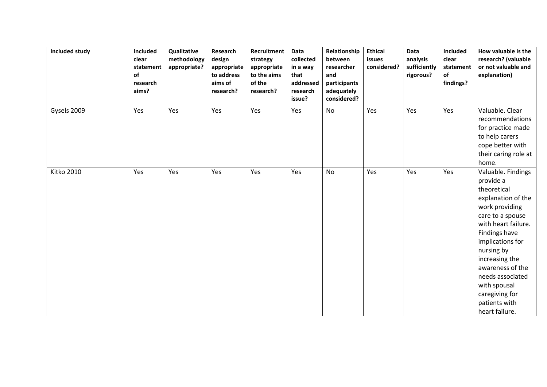| Included study    | Included<br>clear<br>statement<br>of<br>research<br>aims? | Qualitative<br>methodology<br>appropriate? | Research<br>design<br>appropriate<br>to address<br>aims of<br>research? | Recruitment<br>strategy<br>appropriate<br>to the aims<br>of the<br>research? | Data<br>collected<br>in a way<br>that<br>addressed<br>research<br>issue? | Relationship<br>between<br>researcher<br>and<br>participants<br>adequately<br>considered? | <b>Ethical</b><br>issues<br>considered? | Data<br>analysis<br>sufficiently<br>rigorous? | Included<br>clear<br>statement<br>of<br>findings? | How valuable is the<br>research? (valuable<br>or not valuable and<br>explanation)                                                                                                                                                                                                                                   |
|-------------------|-----------------------------------------------------------|--------------------------------------------|-------------------------------------------------------------------------|------------------------------------------------------------------------------|--------------------------------------------------------------------------|-------------------------------------------------------------------------------------------|-----------------------------------------|-----------------------------------------------|---------------------------------------------------|---------------------------------------------------------------------------------------------------------------------------------------------------------------------------------------------------------------------------------------------------------------------------------------------------------------------|
| Gysels 2009       | Yes                                                       | Yes                                        | Yes                                                                     | Yes                                                                          | Yes                                                                      | No                                                                                        | Yes                                     | Yes                                           | Yes                                               | Valuable. Clear<br>recommendations<br>for practice made<br>to help carers<br>cope better with<br>their caring role at<br>home.                                                                                                                                                                                      |
| <b>Kitko 2010</b> | Yes                                                       | Yes                                        | Yes                                                                     | Yes                                                                          | Yes                                                                      | No                                                                                        | Yes                                     | Yes                                           | Yes                                               | Valuable. Findings<br>provide a<br>theoretical<br>explanation of the<br>work providing<br>care to a spouse<br>with heart failure.<br>Findings have<br>implications for<br>nursing by<br>increasing the<br>awareness of the<br>needs associated<br>with spousal<br>caregiving for<br>patients with<br>heart failure. |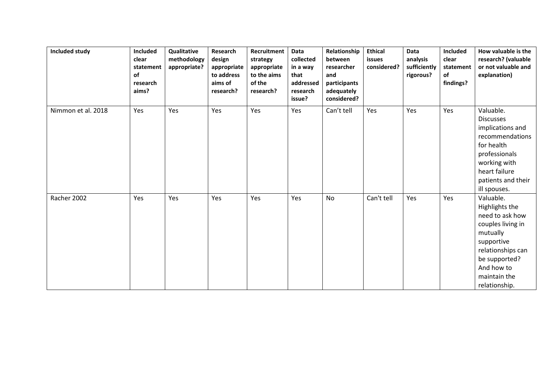| Included study     | Included<br>clear<br>statement<br>of<br>research<br>aims? | Qualitative<br>methodology<br>appropriate? | Research<br>design<br>appropriate<br>to address<br>aims of<br>research? | Recruitment<br>strategy<br>appropriate<br>to the aims<br>of the<br>research? | Data<br>collected<br>in a way<br>that<br>addressed<br>research<br>issue? | Relationship<br>between<br>researcher<br>and<br>participants<br>adequately<br>considered? | <b>Ethical</b><br>issues<br>considered? | Data<br>analysis<br>sufficiently<br>rigorous? | Included<br>clear<br>statement<br>of<br>findings? | How valuable is the<br>research? (valuable<br>or not valuable and<br>explanation)                                                                                                  |
|--------------------|-----------------------------------------------------------|--------------------------------------------|-------------------------------------------------------------------------|------------------------------------------------------------------------------|--------------------------------------------------------------------------|-------------------------------------------------------------------------------------------|-----------------------------------------|-----------------------------------------------|---------------------------------------------------|------------------------------------------------------------------------------------------------------------------------------------------------------------------------------------|
| Nimmon et al. 2018 | Yes                                                       | Yes                                        | Yes                                                                     | Yes                                                                          | Yes                                                                      | Can't tell                                                                                | Yes                                     | Yes                                           | Yes                                               | Valuable.<br><b>Discusses</b><br>implications and<br>recommendations<br>for health<br>professionals<br>working with<br>heart failure<br>patients and their<br>ill spouses.         |
| Racher 2002        | Yes                                                       | Yes                                        | Yes                                                                     | Yes                                                                          | Yes                                                                      | No                                                                                        | Can't tell                              | Yes                                           | Yes                                               | Valuable.<br>Highlights the<br>need to ask how<br>couples living in<br>mutually<br>supportive<br>relationships can<br>be supported?<br>And how to<br>maintain the<br>relationship. |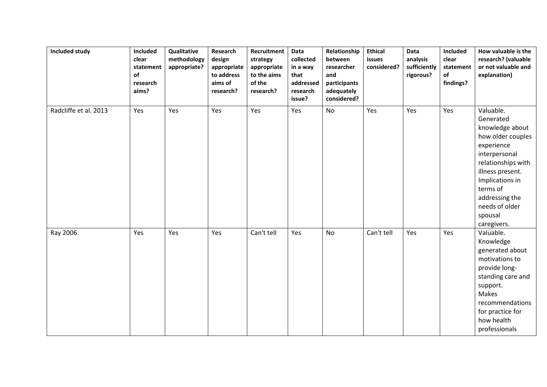| <b>Included study</b> | Included<br>clear<br>statement<br>of<br>research<br>aims? | Qualitative<br>methodology<br>appropriate? | Research<br>design<br>appropriate<br>to address<br>aims of<br>research? | Recruitment<br>strategy<br>appropriate<br>to the aims<br>of the<br>research? | Data<br>collected<br>in a way<br>that<br>addressed<br>research<br>issue? | Relationship<br>between<br>researcher<br>and<br>participants<br>adequately<br>considered? | <b>Ethical</b><br>issues<br>considered? | Data<br>analysis<br>sufficiently<br>rigorous? | Included<br>clear<br>statement<br>of<br>findings? | How valuable is the<br>research? (valuable<br>or not valuable and<br>explanation)                                                                                                                                                    |
|-----------------------|-----------------------------------------------------------|--------------------------------------------|-------------------------------------------------------------------------|------------------------------------------------------------------------------|--------------------------------------------------------------------------|-------------------------------------------------------------------------------------------|-----------------------------------------|-----------------------------------------------|---------------------------------------------------|--------------------------------------------------------------------------------------------------------------------------------------------------------------------------------------------------------------------------------------|
| Radcliffe et al. 2013 | Yes                                                       | Yes                                        | Yes                                                                     | Yes                                                                          | Yes                                                                      | <b>No</b>                                                                                 | Yes                                     | Yes                                           | Yes                                               | Valuable.<br>Generated<br>knowledge about<br>how older couples<br>experience<br>interpersonal<br>relationships with<br>illness present.<br>Implications in<br>terms of<br>addressing the<br>needs of older<br>spousal<br>caregivers. |
| Ray 2006              | Yes                                                       | Yes                                        | Yes                                                                     | Can't tell                                                                   | Yes                                                                      | No                                                                                        | Can't tell                              | Yes                                           | Yes                                               | Valuable.<br>Knowledge<br>generated about<br>motivations to<br>provide long-<br>standing care and<br>support.<br><b>Makes</b><br>recommendations<br>for practice for<br>how health<br>professionals                                  |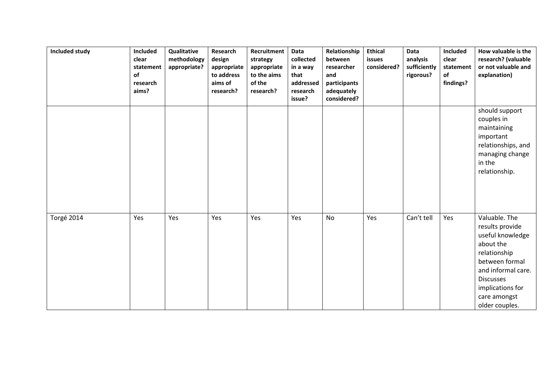| Included study | Included<br>clear<br>statement<br>of<br>research<br>aims? | Qualitative<br>methodology<br>appropriate? | Research<br>design<br>appropriate<br>to address<br>aims of<br>research? | Recruitment<br>strategy<br>appropriate<br>to the aims<br>of the<br>research? | Data<br>collected<br>in a way<br>that<br>addressed<br>research<br>issue? | Relationship<br>between<br>researcher<br>and<br>participants<br>adequately<br>considered? | <b>Ethical</b><br>issues<br>considered? | Data<br>analysis<br>sufficiently<br>rigorous? | Included<br>clear<br>statement<br>of<br>findings? | How valuable is the<br>research? (valuable<br>or not valuable and<br>explanation)                                                                                                                   |
|----------------|-----------------------------------------------------------|--------------------------------------------|-------------------------------------------------------------------------|------------------------------------------------------------------------------|--------------------------------------------------------------------------|-------------------------------------------------------------------------------------------|-----------------------------------------|-----------------------------------------------|---------------------------------------------------|-----------------------------------------------------------------------------------------------------------------------------------------------------------------------------------------------------|
|                |                                                           |                                            |                                                                         |                                                                              |                                                                          |                                                                                           |                                         |                                               |                                                   | should support<br>couples in<br>maintaining<br>important<br>relationships, and<br>managing change<br>in the<br>relationship.                                                                        |
| Torgé 2014     | Yes                                                       | Yes                                        | Yes                                                                     | Yes                                                                          | Yes                                                                      | No                                                                                        | Yes                                     | Can't tell                                    | Yes                                               | Valuable. The<br>results provide<br>useful knowledge<br>about the<br>relationship<br>between formal<br>and informal care.<br><b>Discusses</b><br>implications for<br>care amongst<br>older couples. |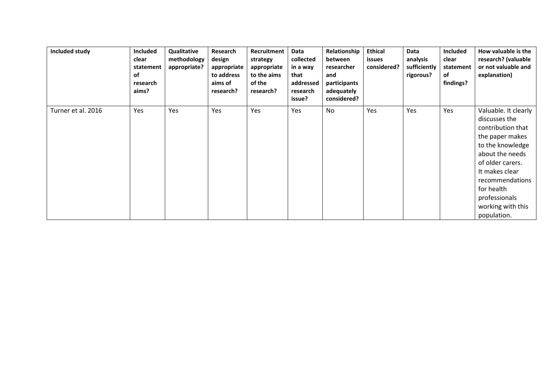| Included study     | Included<br>clear<br>statement<br>of<br>research<br>aims? | Qualitative<br>methodology<br>appropriate? | Research<br>design<br>appropriate<br>to address<br>aims of<br>research? | Recruitment<br>strategy<br>appropriate<br>to the aims<br>of the<br>research? | Data<br>collected<br>in a way<br>that<br>addressed<br>research<br>issue? | Relationship<br>between<br>researcher<br>and<br>participants<br>adequately<br>considered? | <b>Ethical</b><br>issues<br>considered? | <b>Data</b><br>analysis<br>sufficiently<br>rigorous? | <b>Included</b><br>clear<br>statement<br>of<br>findings? | How valuable is the<br>research? (valuable<br>or not valuable and<br>explanation)                                                                                                                                                                |
|--------------------|-----------------------------------------------------------|--------------------------------------------|-------------------------------------------------------------------------|------------------------------------------------------------------------------|--------------------------------------------------------------------------|-------------------------------------------------------------------------------------------|-----------------------------------------|------------------------------------------------------|----------------------------------------------------------|--------------------------------------------------------------------------------------------------------------------------------------------------------------------------------------------------------------------------------------------------|
| Turner et al. 2016 | Yes                                                       | Yes                                        | Yes                                                                     | Yes                                                                          | Yes                                                                      | No                                                                                        | Yes                                     | Yes                                                  | Yes                                                      | Valuable. It clearly<br>discusses the<br>contribution that<br>the paper makes<br>to the knowledge<br>about the needs<br>of older carers.<br>It makes clear<br>recommendations<br>for health<br>professionals<br>working with this<br>population. |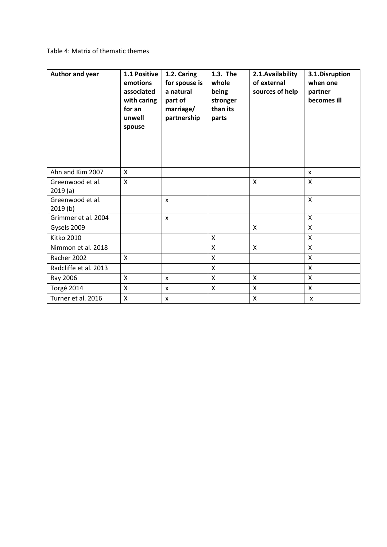# Table 4: Matrix of thematic themes

| Author and year             | 1.1 Positive<br>emotions<br>associated<br>with caring<br>for an<br>unwell<br>spouse | 1.2. Caring<br>for spouse is<br>a natural<br>part of<br>marriage/<br>partnership | 1.3. The<br>whole<br>being<br>stronger<br>than its<br>parts | 2.1. Availability<br>of external<br>sources of help | 3.1.Disruption<br>when one<br>partner<br>becomes ill |
|-----------------------------|-------------------------------------------------------------------------------------|----------------------------------------------------------------------------------|-------------------------------------------------------------|-----------------------------------------------------|------------------------------------------------------|
| Ahn and Kim 2007            | X                                                                                   |                                                                                  |                                                             |                                                     | X                                                    |
| Greenwood et al.<br>2019(a) | $\mathsf{x}$                                                                        |                                                                                  |                                                             | $\mathsf{x}$                                        | $\mathsf{X}$                                         |
| Greenwood et al.<br>2019(b) |                                                                                     | $\mathsf{x}$                                                                     |                                                             |                                                     | $\mathsf{x}$                                         |
| Grimmer et al. 2004         |                                                                                     | $\mathsf{x}$                                                                     |                                                             |                                                     | $\mathsf{X}$                                         |
| Gysels 2009                 |                                                                                     |                                                                                  |                                                             | X                                                   | X                                                    |
| <b>Kitko 2010</b>           |                                                                                     |                                                                                  | $\mathsf{x}$                                                |                                                     | $\mathsf{x}$                                         |
| Nimmon et al. 2018          |                                                                                     |                                                                                  | X                                                           | X                                                   | X                                                    |
| Racher 2002                 | $\mathsf{X}$                                                                        |                                                                                  | $\mathsf{x}$                                                |                                                     | $\mathsf{x}$                                         |
| Radcliffe et al. 2013       |                                                                                     |                                                                                  | $\mathsf{x}$                                                |                                                     | $\mathsf{X}$                                         |
| Ray 2006                    | X                                                                                   | $\mathsf{x}$                                                                     | X                                                           | X                                                   | X                                                    |
| Torgé 2014                  | X                                                                                   | $\mathsf{x}$                                                                     | $\boldsymbol{\mathsf{X}}$                                   | X                                                   | $\mathsf{X}$                                         |
| Turner et al. 2016          | X                                                                                   | X                                                                                |                                                             | X                                                   | X                                                    |